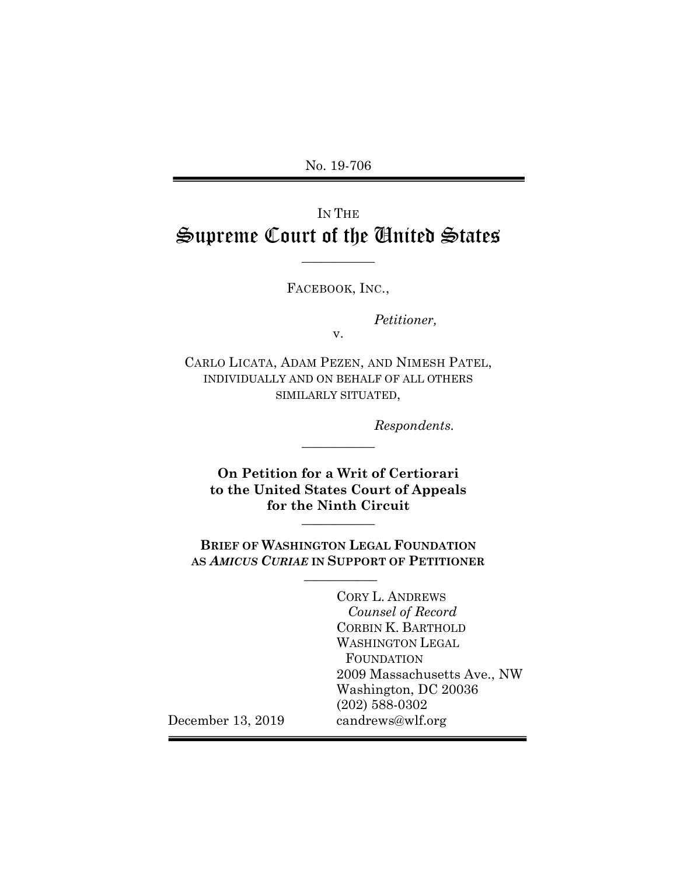No. 19-706

# IN THE Supreme Court of the United States

**\_\_\_\_\_\_\_\_\_\_\_**

FACEBOOK, INC.,

*Petitioner,*

v.

CARLO LICATA, ADAM PEZEN, AND NIMESH PATEL, INDIVIDUALLY AND ON BEHALF OF ALL OTHERS SIMILARLY SITUATED,

*Respondents.*

**On Petition for a Writ of Certiorari to the United States Court of Appeals for the Ninth Circuit \_\_\_\_\_\_\_\_\_\_\_**

**\_\_\_\_\_\_\_\_\_\_\_**

**BRIEF OF WASHINGTON LEGAL FOUNDATION AS** *AMICUS CURIAE* **IN SUPPORT OF PETITIONER \_\_\_\_\_\_\_\_\_\_\_**

> CORY L. ANDREWS  *Counsel of Record* CORBIN K. BARTHOLD WASHINGTON LEGAL **FOUNDATION** 2009 Massachusetts Ave., NW Washington, DC 20036 (202) 588-0302 candrews@wlf.org

December 13, 2019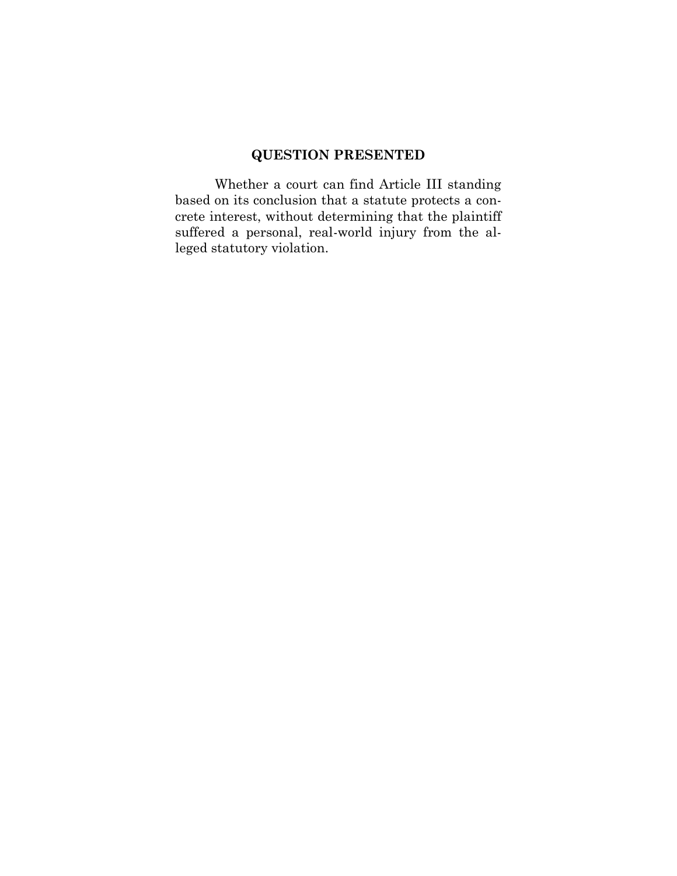# **QUESTION PRESENTED**

Whether a court can find Article III standing based on its conclusion that a statute protects a concrete interest, without determining that the plaintiff suffered a personal, real-world injury from the alleged statutory violation.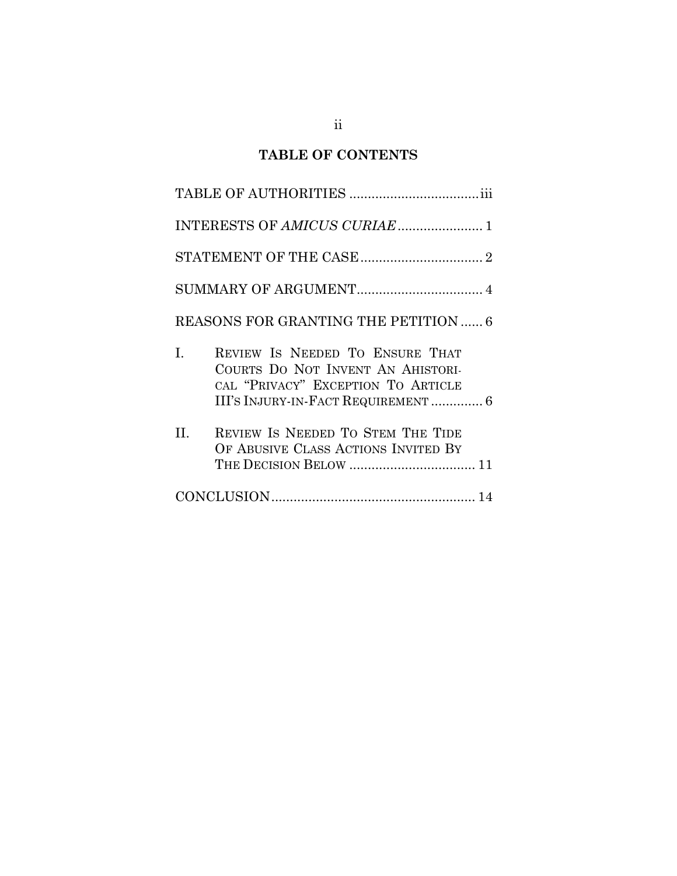## **TABLE OF CONTENTS**

| REASONS FOR GRANTING THE PETITION  6                                                                                                                   |
|--------------------------------------------------------------------------------------------------------------------------------------------------------|
| REVIEW IS NEEDED TO ENSURE THAT<br>I.<br>COURTS DO NOT INVENT AN AHISTORI-<br>CAL "PRIVACY" EXCEPTION TO ARTICLE<br>III'S INJURY-IN-FACT REQUIREMENT 6 |
| REVIEW IS NEEDED TO STEM THE TIDE<br>H.<br>OF ABUSIVE CLASS ACTIONS INVITED BY                                                                         |
|                                                                                                                                                        |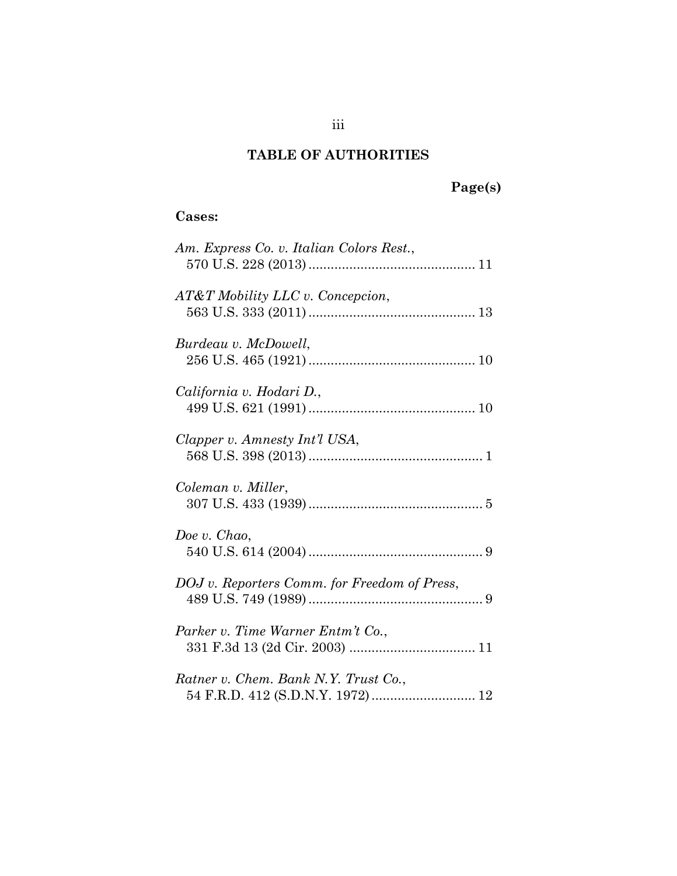## **TABLE OF AUTHORITIES**

# **Page(s)**

## **Cases:**

| Am. Express Co. v. Italian Colors Rest.,     |
|----------------------------------------------|
| AT&T Mobility LLC v. Concepcion,             |
| Burdeau v. McDowell,                         |
| California v. Hodari D.,                     |
| Clapper v. Amnesty Int'l USA,                |
| Coleman v. Miller,                           |
| Doe v. Chao,                                 |
| DOJ v. Reporters Comm. for Freedom of Press, |
| Parker v. Time Warner Entm't Co.,            |
| Ratner v. Chem. Bank N.Y. Trust Co.,         |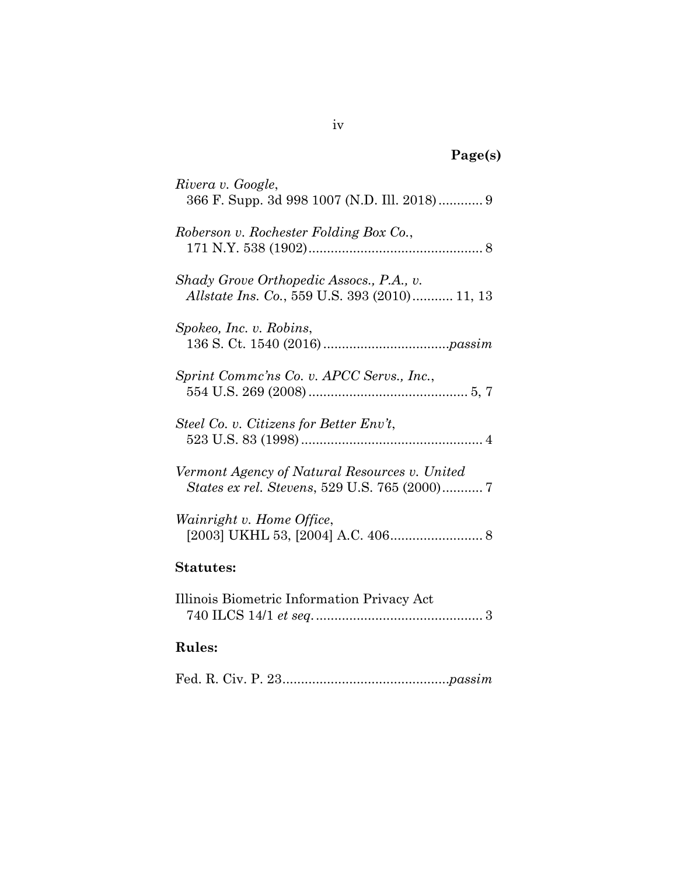| age(s) |  |
|--------|--|
|--------|--|

| Rivera v. Google,<br>366 F. Supp. 3d 998 1007 (N.D. Ill. 2018) 9                          |
|-------------------------------------------------------------------------------------------|
| Roberson v. Rochester Folding Box Co.,                                                    |
| Shady Grove Orthopedic Assocs., P.A., v.<br>Allstate Ins. Co., 559 U.S. 393 (2010) 11, 13 |
| Spokeo, Inc. v. Robins,                                                                   |
| Sprint Comme'ns Co. v. APCC Servs., Inc.,                                                 |
| Steel Co. v. Citizens for Better Env't,                                                   |
| Vermont Agency of Natural Resources v. United                                             |
| Wainright v. Home Office,                                                                 |
| <b>Statutes:</b>                                                                          |
| Illinois Biometric Information Privacy Act                                                |
| <b>Rules:</b>                                                                             |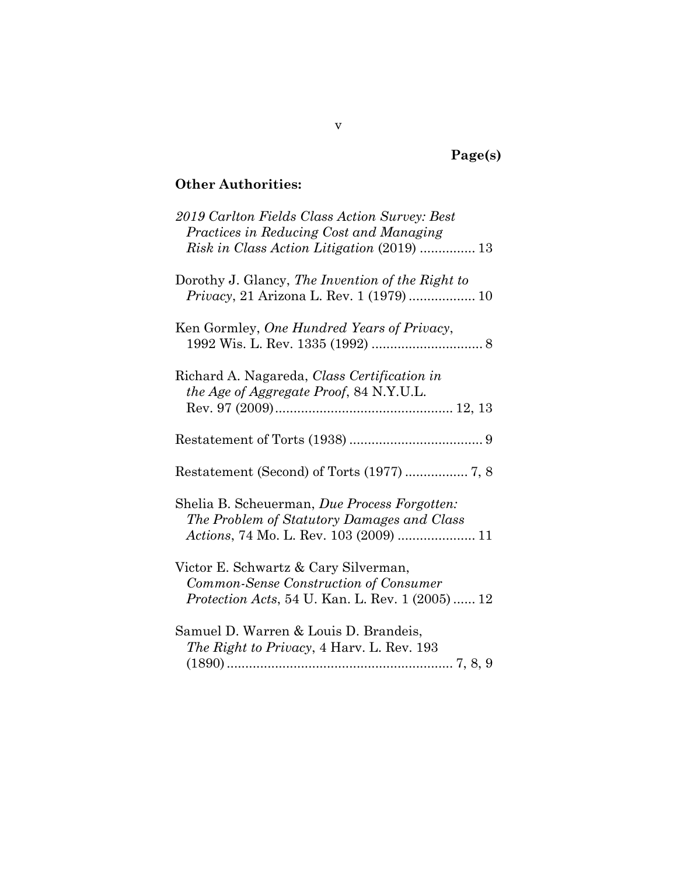# **Page(s)**

### **Other Authorities:**

| 2019 Carlton Fields Class Action Survey: Best<br>Practices in Reducing Cost and Managing<br>Risk in Class Action Litigation (2019)  13    |
|-------------------------------------------------------------------------------------------------------------------------------------------|
| Dorothy J. Glancy, The Invention of the Right to<br>Privacy, 21 Arizona L. Rev. 1 (1979)  10                                              |
| Ken Gormley, One Hundred Years of Privacy,                                                                                                |
| Richard A. Nagareda, Class Certification in<br>the Age of Aggregate Proof, 84 N.Y.U.L.                                                    |
|                                                                                                                                           |
|                                                                                                                                           |
| Shelia B. Scheuerman, Due Process Forgotten:<br>The Problem of Statutory Damages and Class<br>Actions, 74 Mo. L. Rev. 103 (2009)  11      |
| Victor E. Schwartz & Cary Silverman,<br>Common-Sense Construction of Consumer<br><i>Protection Acts</i> , 54 U. Kan. L. Rev. 1 (2005)  12 |
| Samuel D. Warren & Louis D. Brandeis,<br><i>The Right to Privacy</i> , 4 Harv. L. Rev. 193                                                |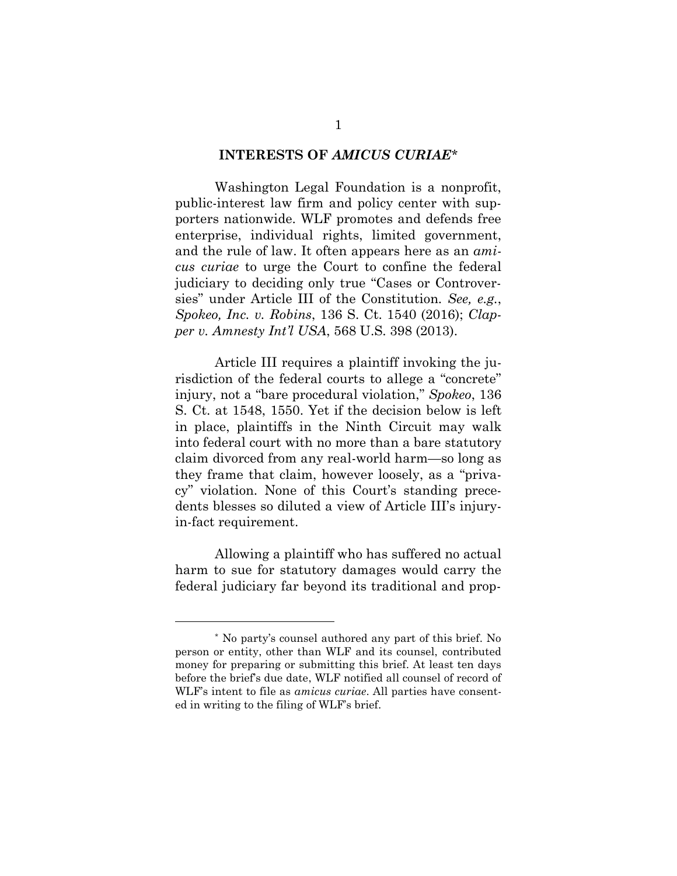### **INTERESTS OF** *AMICUS CURIAE\**

Washington Legal Foundation is a nonprofit, public-interest law firm and policy center with supporters nationwide. WLF promotes and defends free enterprise, individual rights, limited government, and the rule of law. It often appears here as an *amicus curiae* to urge the Court to confine the federal judiciary to deciding only true "Cases or Controversies" under Article III of the Constitution. *See, e.g.*, *Spokeo, Inc. v. Robins*, 136 S. Ct. 1540 (2016); *Clapper v. Amnesty Int'l USA*, 568 U.S. 398 (2013).

Article III requires a plaintiff invoking the jurisdiction of the federal courts to allege a "concrete" injury, not a "bare procedural violation," *Spokeo*, 136 S. Ct. at 1548, 1550. Yet if the decision below is left in place, plaintiffs in the Ninth Circuit may walk into federal court with no more than a bare statutory claim divorced from any real-world harm—so long as they frame that claim, however loosely, as a "privacy" violation. None of this Court's standing precedents blesses so diluted a view of Article III's injuryin-fact requirement.

Allowing a plaintiff who has suffered no actual harm to sue for statutory damages would carry the federal judiciary far beyond its traditional and prop-

 $\overline{a}$ 

<sup>\*</sup> No party's counsel authored any part of this brief. No person or entity, other than WLF and its counsel, contributed money for preparing or submitting this brief. At least ten days before the brief's due date, WLF notified all counsel of record of WLF's intent to file as *amicus curiae*. All parties have consented in writing to the filing of WLF's brief.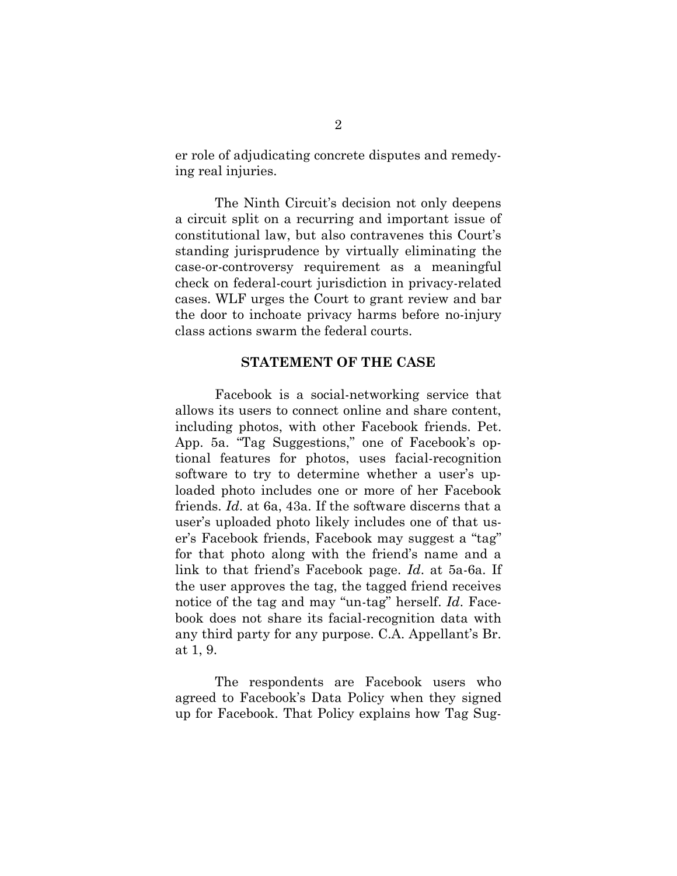er role of adjudicating concrete disputes and remedying real injuries.

The Ninth Circuit's decision not only deepens a circuit split on a recurring and important issue of constitutional law, but also contravenes this Court's standing jurisprudence by virtually eliminating the case-or-controversy requirement as a meaningful check on federal-court jurisdiction in privacy-related cases. WLF urges the Court to grant review and bar the door to inchoate privacy harms before no-injury class actions swarm the federal courts.

### **STATEMENT OF THE CASE**

Facebook is a social-networking service that allows its users to connect online and share content, including photos, with other Facebook friends. Pet. App. 5a. "Tag Suggestions," one of Facebook's optional features for photos, uses facial-recognition software to try to determine whether a user's uploaded photo includes one or more of her Facebook friends. *Id*. at 6a, 43a. If the software discerns that a user's uploaded photo likely includes one of that user's Facebook friends, Facebook may suggest a "tag" for that photo along with the friend's name and a link to that friend's Facebook page. *Id*. at 5a-6a. If the user approves the tag, the tagged friend receives notice of the tag and may "un-tag" herself. *Id*. Facebook does not share its facial-recognition data with any third party for any purpose. C.A. Appellant's Br. at 1, 9.

The respondents are Facebook users who agreed to Facebook's Data Policy when they signed up for Facebook. That Policy explains how Tag Sug-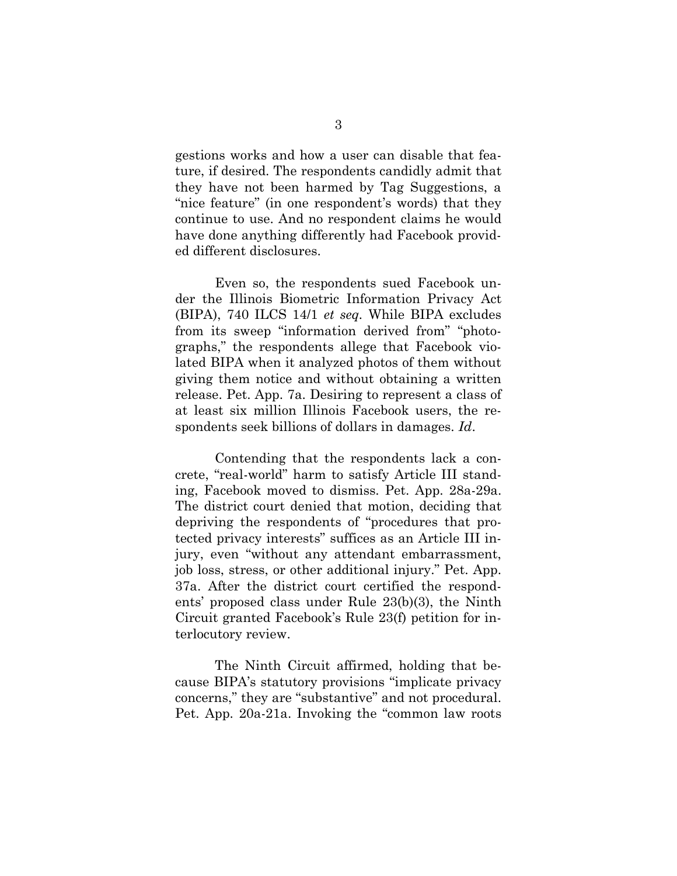gestions works and how a user can disable that feature, if desired. The respondents candidly admit that they have not been harmed by Tag Suggestions, a "nice feature" (in one respondent's words) that they continue to use. And no respondent claims he would have done anything differently had Facebook provided different disclosures.

Even so, the respondents sued Facebook under the Illinois Biometric Information Privacy Act (BIPA), 740 ILCS 14/1 *et seq.* While BIPA excludes from its sweep "information derived from" "photographs," the respondents allege that Facebook violated BIPA when it analyzed photos of them without giving them notice and without obtaining a written release. Pet. App. 7a. Desiring to represent a class of at least six million Illinois Facebook users, the respondents seek billions of dollars in damages. *Id*.

Contending that the respondents lack a concrete, "real-world" harm to satisfy Article III standing, Facebook moved to dismiss. Pet. App. 28a-29a. The district court denied that motion, deciding that depriving the respondents of "procedures that protected privacy interests" suffices as an Article III injury, even "without any attendant embarrassment, job loss, stress, or other additional injury." Pet. App. 37a. After the district court certified the respondents' proposed class under Rule 23(b)(3), the Ninth Circuit granted Facebook's Rule 23(f) petition for interlocutory review.

The Ninth Circuit affirmed, holding that because BIPA's statutory provisions "implicate privacy concerns," they are "substantive" and not procedural. Pet. App. 20a-21a. Invoking the "common law roots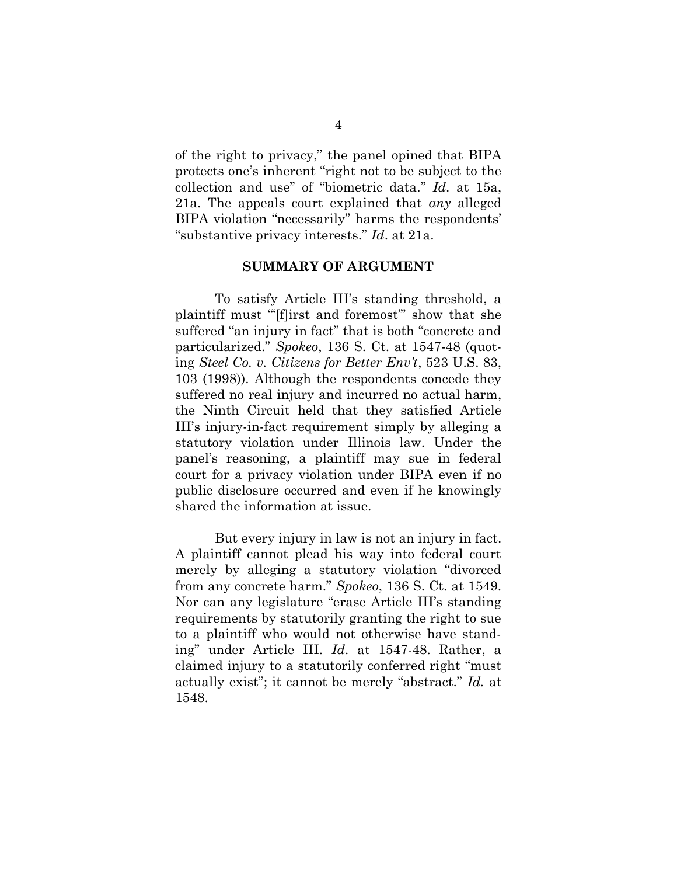of the right to privacy," the panel opined that BIPA protects one's inherent "right not to be subject to the collection and use" of "biometric data." *Id*. at 15a, 21a. The appeals court explained that *any* alleged BIPA violation "necessarily" harms the respondents' "substantive privacy interests." *Id*. at 21a.

#### **SUMMARY OF ARGUMENT**

To satisfy Article III's standing threshold, a plaintiff must "'[f]irst and foremost"' show that she suffered "an injury in fact" that is both "concrete and particularized." *Spokeo*, 136 S. Ct. at 1547-48 (quoting *Steel Co. v. Citizens for Better Env't*, 523 U.S. 83, 103 (1998)). Although the respondents concede they suffered no real injury and incurred no actual harm, the Ninth Circuit held that they satisfied Article III's injury-in-fact requirement simply by alleging a statutory violation under Illinois law. Under the panel's reasoning, a plaintiff may sue in federal court for a privacy violation under BIPA even if no public disclosure occurred and even if he knowingly shared the information at issue.

But every injury in law is not an injury in fact. A plaintiff cannot plead his way into federal court merely by alleging a statutory violation "divorced from any concrete harm." *Spokeo*, 136 S. Ct. at 1549. Nor can any legislature "erase Article III's standing requirements by statutorily granting the right to sue to a plaintiff who would not otherwise have standing" under Article III. *Id*. at 1547-48. Rather, a claimed injury to a statutorily conferred right "must actually exist"; it cannot be merely "abstract." *Id.* at 1548.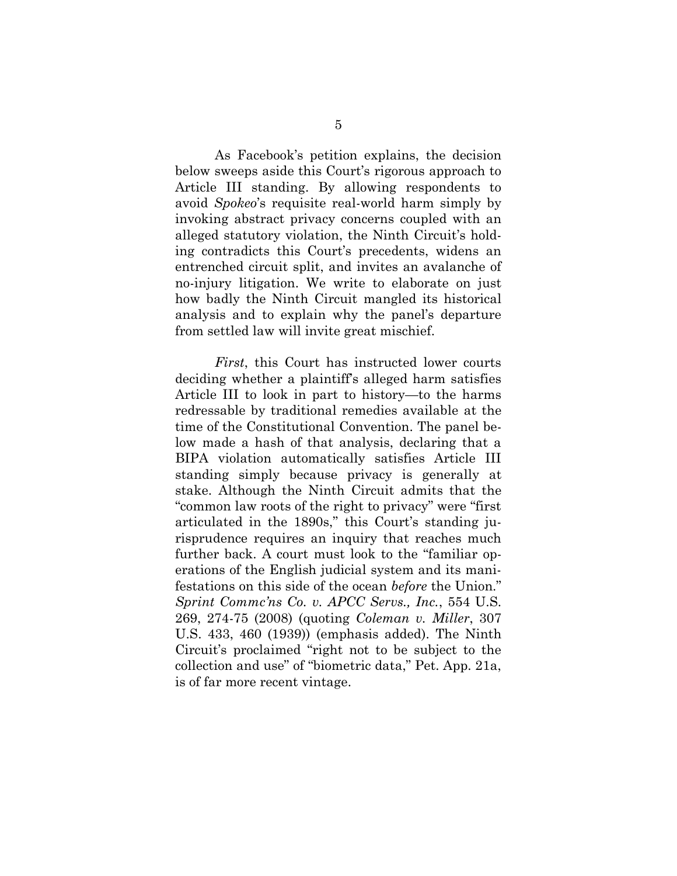As Facebook's petition explains, the decision below sweeps aside this Court's rigorous approach to Article III standing. By allowing respondents to avoid *Spokeo*'s requisite real-world harm simply by invoking abstract privacy concerns coupled with an alleged statutory violation, the Ninth Circuit's holding contradicts this Court's precedents, widens an entrenched circuit split, and invites an avalanche of no-injury litigation. We write to elaborate on just how badly the Ninth Circuit mangled its historical analysis and to explain why the panel's departure from settled law will invite great mischief.

*First*, this Court has instructed lower courts deciding whether a plaintiff's alleged harm satisfies Article III to look in part to history—to the harms redressable by traditional remedies available at the time of the Constitutional Convention. The panel below made a hash of that analysis, declaring that a BIPA violation automatically satisfies Article III standing simply because privacy is generally at stake. Although the Ninth Circuit admits that the "common law roots of the right to privacy" were "first articulated in the 1890s," this Court's standing jurisprudence requires an inquiry that reaches much further back. A court must look to the "familiar operations of the English judicial system and its manifestations on this side of the ocean *before* the Union." *Sprint Commc'ns Co. v. APCC Servs., Inc.*, 554 U.S. 269, 274-75 (2008) (quoting *Coleman v. Miller*, 307 U.S. 433, 460 (1939)) (emphasis added). The Ninth Circuit's proclaimed "right not to be subject to the collection and use" of "biometric data," Pet. App. 21a, is of far more recent vintage.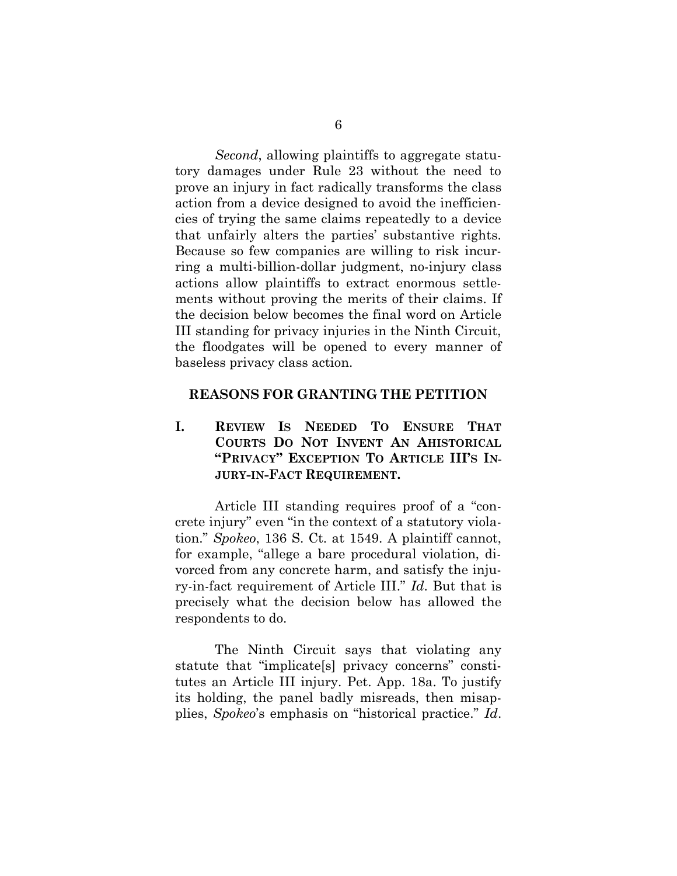*Second*, allowing plaintiffs to aggregate statutory damages under Rule 23 without the need to prove an injury in fact radically transforms the class action from a device designed to avoid the inefficiencies of trying the same claims repeatedly to a device that unfairly alters the parties' substantive rights. Because so few companies are willing to risk incurring a multi-billion-dollar judgment, no-injury class actions allow plaintiffs to extract enormous settlements without proving the merits of their claims. If the decision below becomes the final word on Article III standing for privacy injuries in the Ninth Circuit, the floodgates will be opened to every manner of baseless privacy class action.

### **REASONS FOR GRANTING THE PETITION**

**I. REVIEW IS NEEDED TO ENSURE THAT COURTS DO NOT INVENT AN AHISTORICAL "PRIVACY" EXCEPTION TO ARTICLE III'S IN-JURY-IN-FACT REQUIREMENT.**

Article III standing requires proof of a "concrete injury" even "in the context of a statutory violation." *Spokeo*, 136 S. Ct. at 1549. A plaintiff cannot, for example, "allege a bare procedural violation, divorced from any concrete harm, and satisfy the injury-in-fact requirement of Article III." *Id*. But that is precisely what the decision below has allowed the respondents to do.

The Ninth Circuit says that violating any statute that "implicate[s] privacy concerns" constitutes an Article III injury. Pet. App. 18a. To justify its holding, the panel badly misreads, then misapplies, *Spokeo*'s emphasis on "historical practice." *Id*.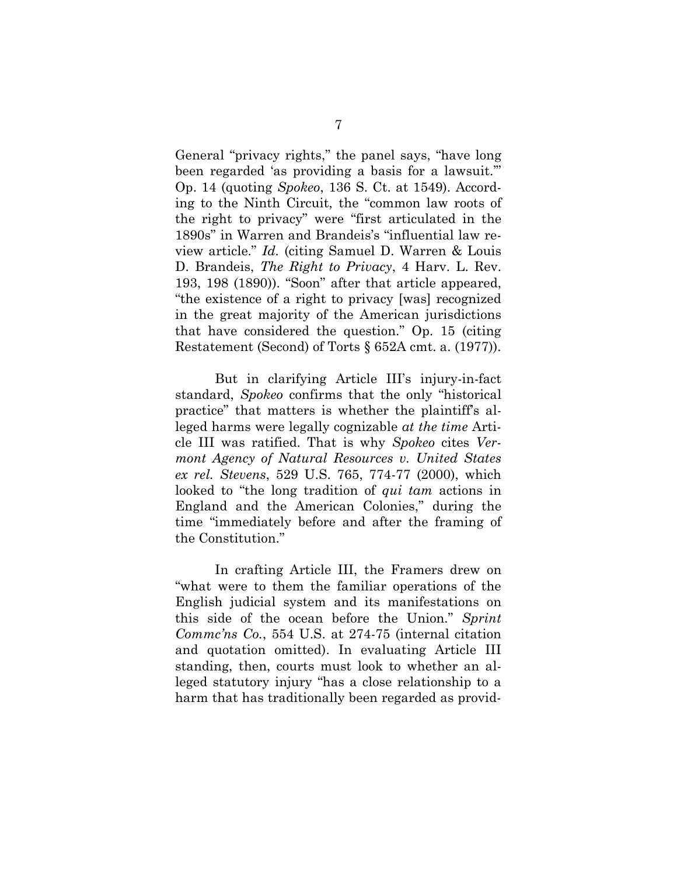General "privacy rights," the panel says, "have long been regarded 'as providing a basis for a lawsuit.'" Op. 14 (quoting *Spokeo*, 136 S. Ct. at 1549). According to the Ninth Circuit, the "common law roots of the right to privacy" were "first articulated in the 1890s" in Warren and Brandeis's "influential law review article." *Id.* (citing Samuel D. Warren & Louis D. Brandeis, *The Right to Privacy*, 4 Harv. L. Rev. 193, 198 (1890)). "Soon" after that article appeared, "the existence of a right to privacy [was] recognized in the great majority of the American jurisdictions that have considered the question." Op. 15 (citing Restatement (Second) of Torts § 652A cmt. a. (1977)).

But in clarifying Article III's injury-in-fact standard, *Spokeo* confirms that the only "historical practice" that matters is whether the plaintiff's alleged harms were legally cognizable *at the time* Article III was ratified. That is why *Spokeo* cites *Vermont Agency of Natural Resources v. United States ex rel. Stevens*, 529 U.S. 765, 774-77 (2000), which looked to "the long tradition of *qui tam* actions in England and the American Colonies," during the time "immediately before and after the framing of the Constitution."

In crafting Article III, the Framers drew on "what were to them the familiar operations of the English judicial system and its manifestations on this side of the ocean before the Union." *Sprint Commc'ns Co.*, 554 U.S. at 274-75 (internal citation and quotation omitted). In evaluating Article III standing, then, courts must look to whether an alleged statutory injury "has a close relationship to a harm that has traditionally been regarded as provid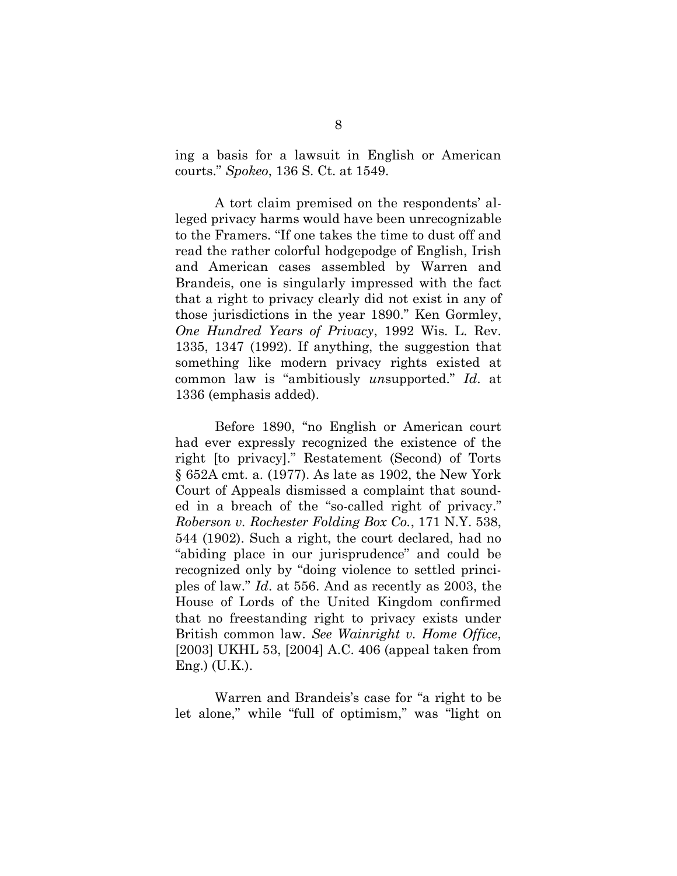ing a basis for a lawsuit in English or American courts." *Spokeo*, 136 S. Ct. at 1549.

A tort claim premised on the respondents' alleged privacy harms would have been unrecognizable to the Framers. "If one takes the time to dust off and read the rather colorful hodgepodge of English, Irish and American cases assembled by Warren and Brandeis, one is singularly impressed with the fact that a right to privacy clearly did not exist in any of those jurisdictions in the year 1890." Ken Gormley, *One Hundred Years of Privacy*, 1992 Wis. L. Rev. 1335, 1347 (1992). If anything, the suggestion that something like modern privacy rights existed at common law is "ambitiously *un*supported." *Id*. at 1336 (emphasis added).

Before 1890, "no English or American court had ever expressly recognized the existence of the right [to privacy]." Restatement (Second) of Torts § 652A cmt. a. (1977). As late as 1902, the New York Court of Appeals dismissed a complaint that sounded in a breach of the "so-called right of privacy." *Roberson v. Rochester Folding Box Co.*, 171 N.Y. 538, 544 (1902). Such a right, the court declared, had no "abiding place in our jurisprudence" and could be recognized only by "doing violence to settled principles of law." *Id*. at 556. And as recently as 2003, the House of Lords of the United Kingdom confirmed that no freestanding right to privacy exists under British common law. *See Wainright v. Home Office*, [2003] UKHL 53, [2004] A.C. 406 (appeal taken from Eng.) (U.K.).

Warren and Brandeis's case for "a right to be let alone," while "full of optimism," was "light on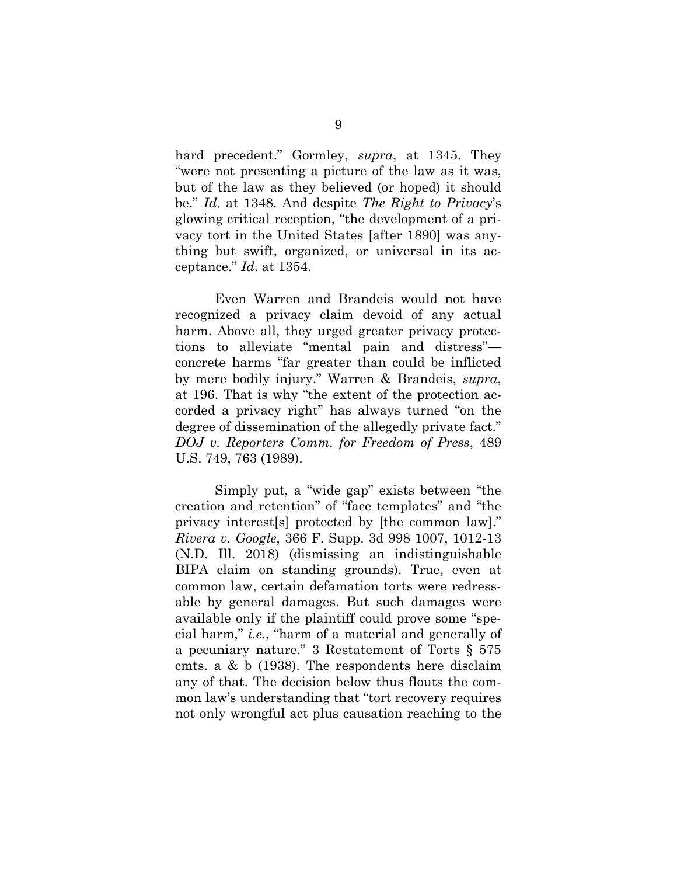hard precedent." Gormley, *supra*, at 1345. They "were not presenting a picture of the law as it was, but of the law as they believed (or hoped) it should be." *Id*. at 1348. And despite *The Right to Privacy*'s glowing critical reception, "the development of a privacy tort in the United States [after 1890] was anything but swift, organized, or universal in its acceptance." *Id*. at 1354.

Even Warren and Brandeis would not have recognized a privacy claim devoid of any actual harm. Above all, they urged greater privacy protections to alleviate "mental pain and distress" concrete harms "far greater than could be inflicted by mere bodily injury." Warren & Brandeis, *supra*, at 196. That is why "the extent of the protection accorded a privacy right" has always turned "on the degree of dissemination of the allegedly private fact." *DOJ v. Reporters Comm. for Freedom of Press*, 489 U.S. 749, 763 (1989).

Simply put, a "wide gap" exists between "the creation and retention" of "face templates" and "the privacy interest[s] protected by [the common law]." *Rivera v. Google*, 366 F. Supp. 3d 998 1007, 1012-13 (N.D. Ill. 2018) (dismissing an indistinguishable BIPA claim on standing grounds). True, even at common law, certain defamation torts were redressable by general damages. But such damages were available only if the plaintiff could prove some "special harm," *i.e.*, "harm of a material and generally of a pecuniary nature." 3 Restatement of Torts § 575 cmts. a & b (1938). The respondents here disclaim any of that. The decision below thus flouts the common law's understanding that "tort recovery requires not only wrongful act plus causation reaching to the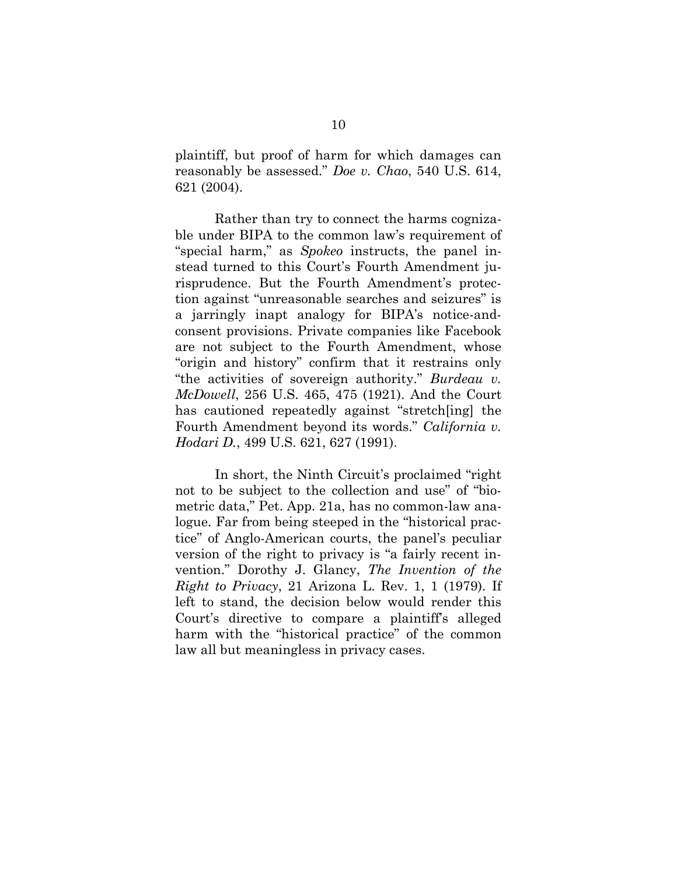plaintiff, but proof of harm for which damages can reasonably be assessed." *Doe v. Chao*, 540 U.S. 614, 621 (2004).

Rather than try to connect the harms cognizable under BIPA to the common law's requirement of "special harm," as *Spokeo* instructs, the panel instead turned to this Court's Fourth Amendment jurisprudence. But the Fourth Amendment's protection against "unreasonable searches and seizures" is a jarringly inapt analogy for BIPA's notice-andconsent provisions. Private companies like Facebook are not subject to the Fourth Amendment, whose "origin and history" confirm that it restrains only "the activities of sovereign authority." *Burdeau v. McDowell*, 256 U.S. 465, 475 (1921). And the Court has cautioned repeatedly against "stretch[ing] the Fourth Amendment beyond its words." *California v. Hodari D.*, 499 U.S. 621, 627 (1991).

In short, the Ninth Circuit's proclaimed "right not to be subject to the collection and use" of "biometric data," Pet. App. 21a, has no common-law analogue. Far from being steeped in the "historical practice" of Anglo-American courts, the panel's peculiar version of the right to privacy is "a fairly recent invention." Dorothy J. Glancy, *The Invention of the Right to Privacy*, 21 Arizona L. Rev. 1, 1 (1979). If left to stand, the decision below would render this Court's directive to compare a plaintiff's alleged harm with the "historical practice" of the common law all but meaningless in privacy cases.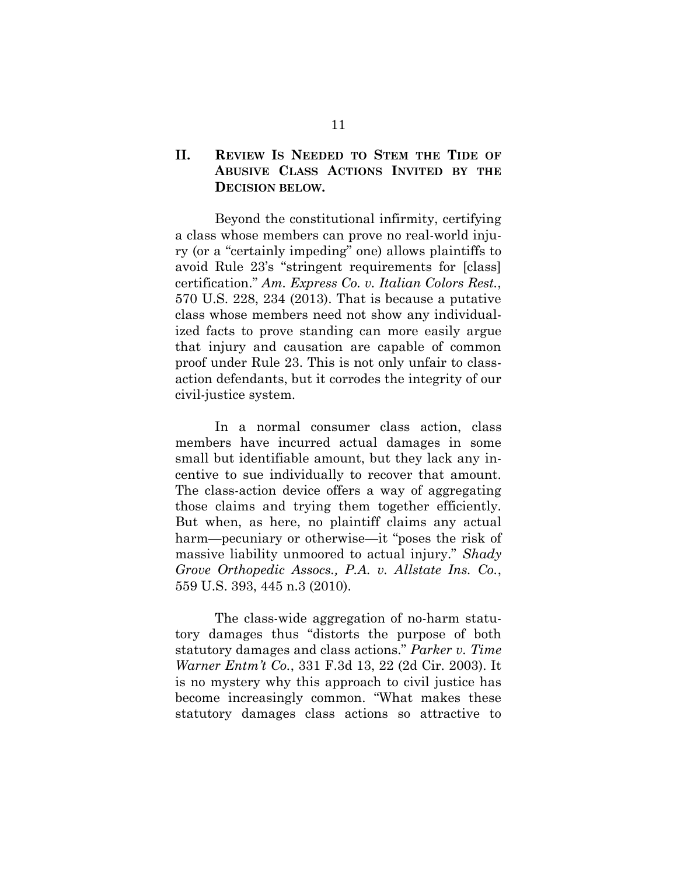### **II. REVIEW IS NEEDED TO STEM THE TIDE OF ABUSIVE CLASS ACTIONS INVITED BY THE DECISION BELOW.**

Beyond the constitutional infirmity, certifying a class whose members can prove no real-world injury (or a "certainly impeding" one) allows plaintiffs to avoid Rule 23's "stringent requirements for [class] certification." *Am. Express Co. v. Italian Colors Rest.*, 570 U.S. 228, 234 (2013). That is because a putative class whose members need not show any individualized facts to prove standing can more easily argue that injury and causation are capable of common proof under Rule 23. This is not only unfair to classaction defendants, but it corrodes the integrity of our civil-justice system.

In a normal consumer class action, class members have incurred actual damages in some small but identifiable amount, but they lack any incentive to sue individually to recover that amount. The class-action device offers a way of aggregating those claims and trying them together efficiently. But when, as here, no plaintiff claims any actual harm—pecuniary or otherwise—it "poses the risk of massive liability unmoored to actual injury." *Shady Grove Orthopedic Assocs., P.A. v. Allstate Ins. Co.*, 559 U.S. 393, 445 n.3 (2010).

The class-wide aggregation of no-harm statutory damages thus "distorts the purpose of both statutory damages and class actions." *Parker v. Time Warner Entm't Co.*, 331 F.3d 13, 22 (2d Cir. 2003). It is no mystery why this approach to civil justice has become increasingly common. "What makes these statutory damages class actions so attractive to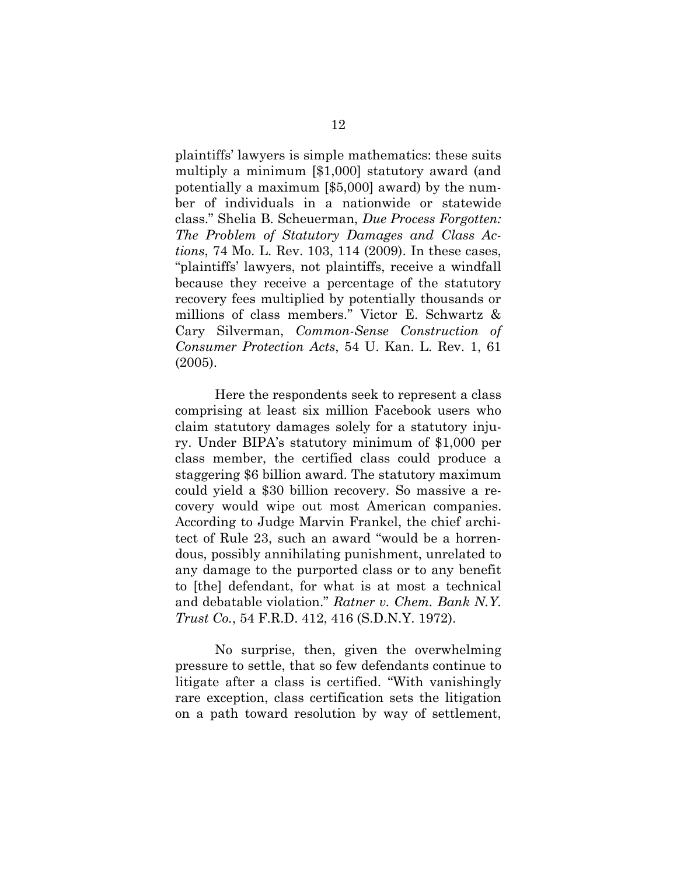plaintiffs' lawyers is simple mathematics: these suits multiply a minimum [\$1,000] statutory award (and potentially a maximum [\$5,000] award) by the number of individuals in a nationwide or statewide class." Shelia B. Scheuerman, *Due Process Forgotten: The Problem of Statutory Damages and Class Actions*, 74 Mo. L. Rev. 103, 114 (2009). In these cases, "plaintiffs' lawyers, not plaintiffs, receive a windfall because they receive a percentage of the statutory recovery fees multiplied by potentially thousands or millions of class members." Victor E. Schwartz & Cary Silverman, *Common-Sense Construction of Consumer Protection Acts*, 54 U. Kan. L. Rev. 1, 61 (2005).

Here the respondents seek to represent a class comprising at least six million Facebook users who claim statutory damages solely for a statutory injury. Under BIPA's statutory minimum of \$1,000 per class member, the certified class could produce a staggering \$6 billion award. The statutory maximum could yield a \$30 billion recovery. So massive a recovery would wipe out most American companies. According to Judge Marvin Frankel, the chief architect of Rule 23, such an award "would be a horrendous, possibly annihilating punishment, unrelated to any damage to the purported class or to any benefit to [the] defendant, for what is at most a technical and debatable violation." *Ratner v. Chem. Bank N.Y. Trust Co.*, 54 F.R.D. 412, 416 (S.D.N.Y. 1972).

No surprise, then, given the overwhelming pressure to settle, that so few defendants continue to litigate after a class is certified. "With vanishingly rare exception, class certification sets the litigation on a path toward resolution by way of settlement,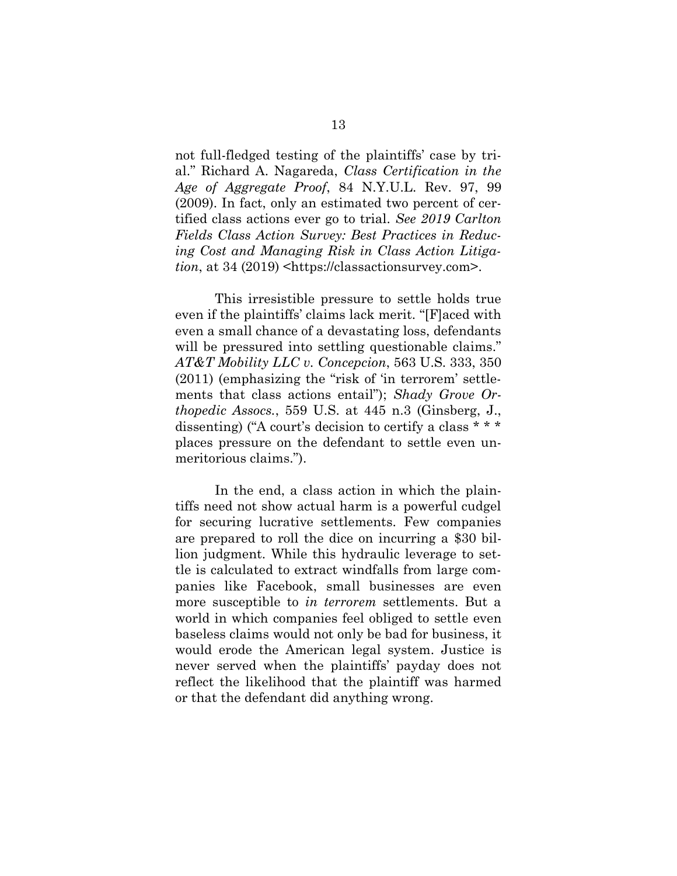not full-fledged testing of the plaintiffs' case by trial." Richard A. Nagareda, *Class Certification in the Age of Aggregate Proof*, 84 N.Y.U.L. Rev. 97, 99 (2009). In fact, only an estimated two percent of certified class actions ever go to trial. *See 2019 Carlton Fields Class Action Survey: Best Practices in Reducing Cost and Managing Risk in Class Action Litigation*, at 34 (2019) <https://classactionsurvey.com>.

This irresistible pressure to settle holds true even if the plaintiffs' claims lack merit. "[F]aced with even a small chance of a devastating loss, defendants will be pressured into settling questionable claims." *AT&T Mobility LLC v. Concepcion*, 563 U.S. 333, 350 (2011) (emphasizing the "risk of 'in terrorem' settlements that class actions entail"); *Shady Grove Orthopedic Assocs.*, 559 U.S. at 445 n.3 (Ginsberg, J., dissenting) ("A court's decision to certify a class \* \* \* places pressure on the defendant to settle even unmeritorious claims.").

In the end, a class action in which the plaintiffs need not show actual harm is a powerful cudgel for securing lucrative settlements. Few companies are prepared to roll the dice on incurring a \$30 billion judgment. While this hydraulic leverage to settle is calculated to extract windfalls from large companies like Facebook, small businesses are even more susceptible to *in terrorem* settlements. But a world in which companies feel obliged to settle even baseless claims would not only be bad for business, it would erode the American legal system. Justice is never served when the plaintiffs' payday does not reflect the likelihood that the plaintiff was harmed or that the defendant did anything wrong.